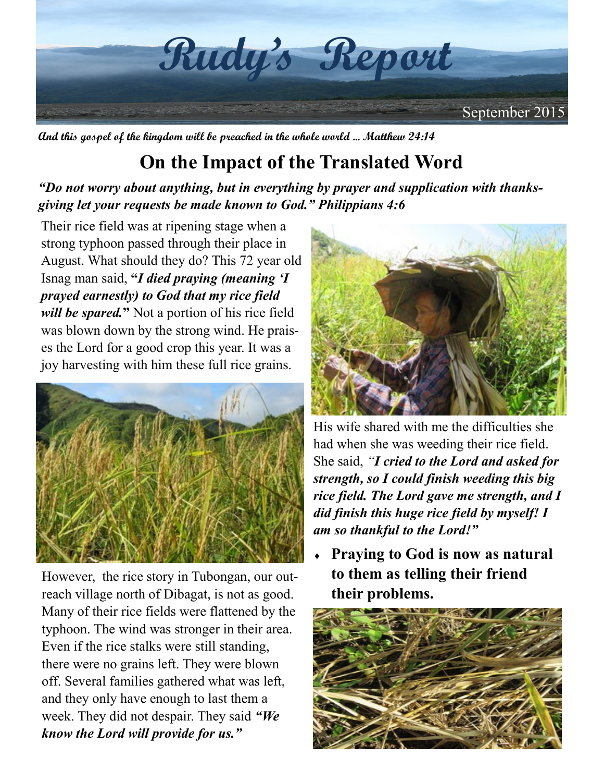

**And this gospel of the kingdom will be preached in the whole world ... Matthew 24:14**

## **On the Impact of the Translated Word**

*"Do not worry about anything, but in everything by prayer and supplication with thanksgiving let your requests be made known to God." Philippians 4:6*

Their rice field was at ripening stage when a strong typhoon passed through their place in August. What should they do? This 72 year old Isnag man said, **"***I died praying (meaning 'I prayed earnestly) to God that my rice field will be spared.***"** Not a portion of his rice field was blown down by the strong wind. He praises the Lord for a good crop this year. It was a joy harvesting with him these full rice grains.



However, the rice story in Tubongan, our outreach village north of Dibagat, is not as good. Many of their rice fields were flattened by the typhoon. The wind was stronger in their area. Even if the rice stalks were still standing, there were no grains left. They were blown off. Several families gathered what was left, and they only have enough to last them a week. They did not despair. They said *"We know the Lord will provide for us."*



His wife shared with me the difficulties she had when she was weeding their rice field. She said, *"I cried to the Lord and asked for strength, so I could finish weeding this big rice field. The Lord gave me strength, and I did finish this huge rice field by myself! I am so thankful to the Lord!"*

 **Praying to God is now as natural to them as telling their friend their problems.**